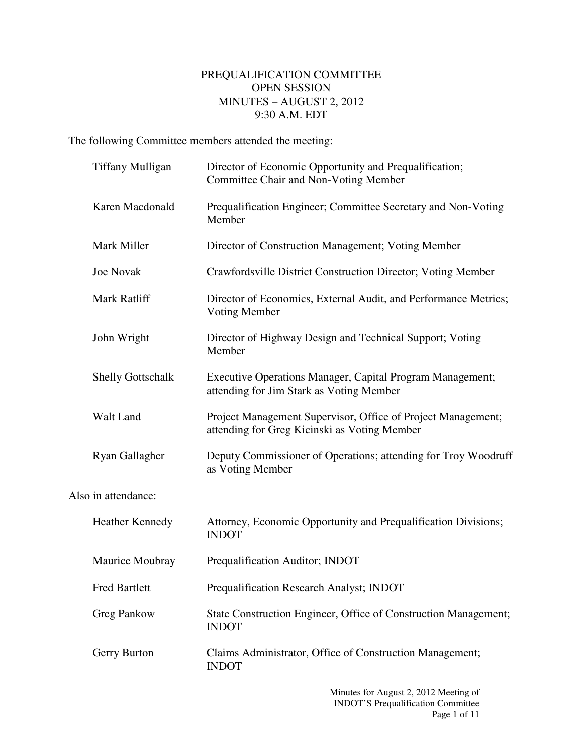## PREQUALIFICATION COMMITTEE OPEN SESSION MINUTES – AUGUST 2, 2012 9:30 A.M. EDT

The following Committee members attended the meeting:

| <b>Tiffany Mulligan</b>  | Director of Economic Opportunity and Prequalification;<br><b>Committee Chair and Non-Voting Member</b>       |
|--------------------------|--------------------------------------------------------------------------------------------------------------|
| Karen Macdonald          | Prequalification Engineer; Committee Secretary and Non-Voting<br>Member                                      |
| Mark Miller              | Director of Construction Management; Voting Member                                                           |
| <b>Joe Novak</b>         | Crawfordsville District Construction Director; Voting Member                                                 |
| Mark Ratliff             | Director of Economics, External Audit, and Performance Metrics;<br>Voting Member                             |
| John Wright              | Director of Highway Design and Technical Support; Voting<br>Member                                           |
| <b>Shelly Gottschalk</b> | Executive Operations Manager, Capital Program Management;<br>attending for Jim Stark as Voting Member        |
| Walt Land                | Project Management Supervisor, Office of Project Management;<br>attending for Greg Kicinski as Voting Member |
| Ryan Gallagher           | Deputy Commissioner of Operations; attending for Troy Woodruff<br>as Voting Member                           |
| Also in attendance:      |                                                                                                              |
| <b>Heather Kennedy</b>   | Attorney, Economic Opportunity and Prequalification Divisions;<br><b>INDOT</b>                               |
| Maurice Moubray          | Prequalification Auditor; INDOT                                                                              |
| <b>Fred Bartlett</b>     | Prequalification Research Analyst; INDOT                                                                     |
| <b>Greg Pankow</b>       | State Construction Engineer, Office of Construction Management;<br><b>INDOT</b>                              |
| Gerry Burton             | Claims Administrator, Office of Construction Management;<br><b>INDOT</b>                                     |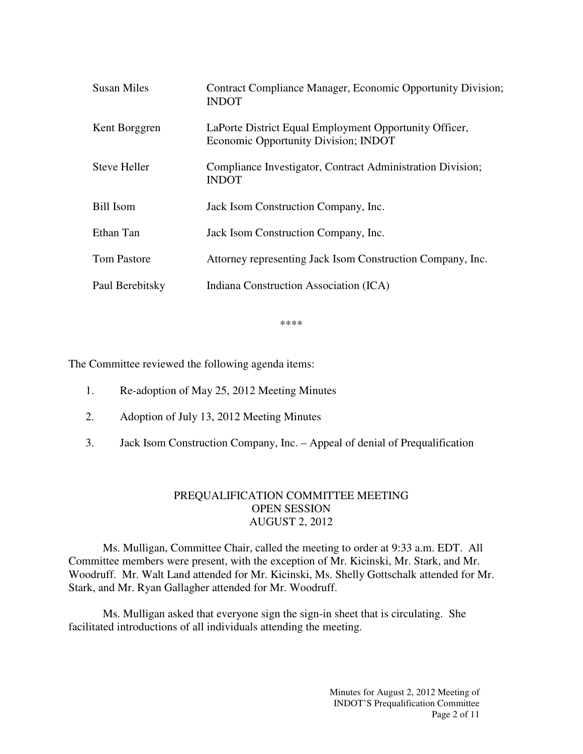| <b>Susan Miles</b>  | Contract Compliance Manager, Economic Opportunity Division;<br><b>INDOT</b>                    |
|---------------------|------------------------------------------------------------------------------------------------|
| Kent Borggren       | LaPorte District Equal Employment Opportunity Officer,<br>Economic Opportunity Division; INDOT |
| <b>Steve Heller</b> | Compliance Investigator, Contract Administration Division;<br><b>INDOT</b>                     |
| <b>Bill Isom</b>    | Jack Isom Construction Company, Inc.                                                           |
| Ethan Tan           | Jack Isom Construction Company, Inc.                                                           |
| <b>Tom Pastore</b>  | Attorney representing Jack Isom Construction Company, Inc.                                     |
| Paul Berebitsky     | Indiana Construction Association (ICA)                                                         |

\*\*\*\*

The Committee reviewed the following agenda items:

- 1. Re-adoption of May 25, 2012 Meeting Minutes
- 2. Adoption of July 13, 2012 Meeting Minutes
- 3. Jack Isom Construction Company, Inc. Appeal of denial of Prequalification

## PREQUALIFICATION COMMITTEE MEETING OPEN SESSION AUGUST 2, 2012

Ms. Mulligan, Committee Chair, called the meeting to order at 9:33 a.m. EDT. All Committee members were present, with the exception of Mr. Kicinski, Mr. Stark, and Mr. Woodruff. Mr. Walt Land attended for Mr. Kicinski, Ms. Shelly Gottschalk attended for Mr. Stark, and Mr. Ryan Gallagher attended for Mr. Woodruff.

Ms. Mulligan asked that everyone sign the sign-in sheet that is circulating. She facilitated introductions of all individuals attending the meeting.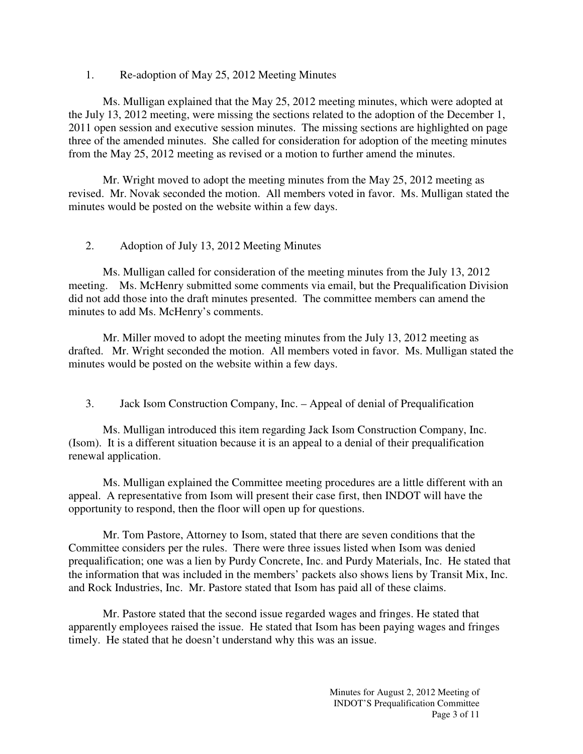## 1. Re-adoption of May 25, 2012 Meeting Minutes

 Ms. Mulligan explained that the May 25, 2012 meeting minutes, which were adopted at the July 13, 2012 meeting, were missing the sections related to the adoption of the December 1, 2011 open session and executive session minutes. The missing sections are highlighted on page three of the amended minutes. She called for consideration for adoption of the meeting minutes from the May 25, 2012 meeting as revised or a motion to further amend the minutes.

 Mr. Wright moved to adopt the meeting minutes from the May 25, 2012 meeting as revised. Mr. Novak seconded the motion. All members voted in favor. Ms. Mulligan stated the minutes would be posted on the website within a few days.

## 2. Adoption of July 13, 2012 Meeting Minutes

 Ms. Mulligan called for consideration of the meeting minutes from the July 13, 2012 meeting. Ms. McHenry submitted some comments via email, but the Prequalification Division did not add those into the draft minutes presented. The committee members can amend the minutes to add Ms. McHenry's comments.

 Mr. Miller moved to adopt the meeting minutes from the July 13, 2012 meeting as drafted. Mr. Wright seconded the motion. All members voted in favor. Ms. Mulligan stated the minutes would be posted on the website within a few days.

3. Jack Isom Construction Company, Inc. – Appeal of denial of Prequalification

Ms. Mulligan introduced this item regarding Jack Isom Construction Company, Inc. (Isom). It is a different situation because it is an appeal to a denial of their prequalification renewal application.

Ms. Mulligan explained the Committee meeting procedures are a little different with an appeal. A representative from Isom will present their case first, then INDOT will have the opportunity to respond, then the floor will open up for questions.

Mr. Tom Pastore, Attorney to Isom, stated that there are seven conditions that the Committee considers per the rules. There were three issues listed when Isom was denied prequalification; one was a lien by Purdy Concrete, Inc. and Purdy Materials, Inc. He stated that the information that was included in the members' packets also shows liens by Transit Mix, Inc. and Rock Industries, Inc. Mr. Pastore stated that Isom has paid all of these claims.

Mr. Pastore stated that the second issue regarded wages and fringes. He stated that apparently employees raised the issue. He stated that Isom has been paying wages and fringes timely. He stated that he doesn't understand why this was an issue.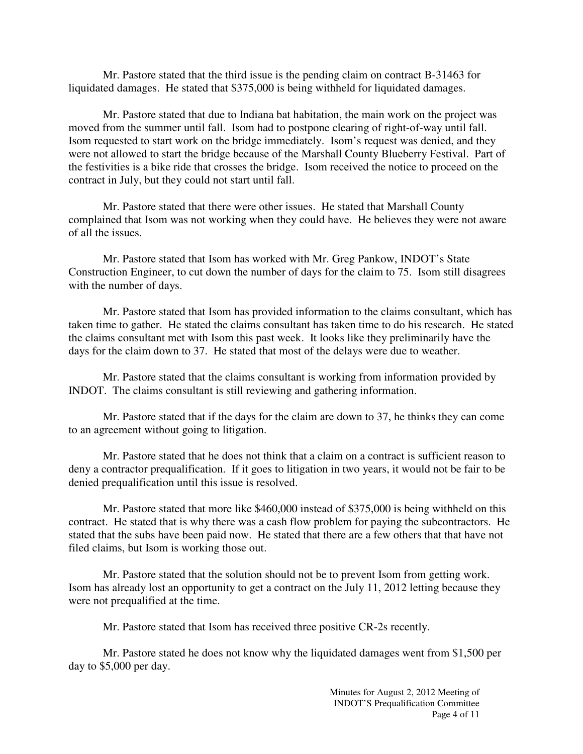Mr. Pastore stated that the third issue is the pending claim on contract B-31463 for liquidated damages. He stated that \$375,000 is being withheld for liquidated damages.

Mr. Pastore stated that due to Indiana bat habitation, the main work on the project was moved from the summer until fall. Isom had to postpone clearing of right-of-way until fall. Isom requested to start work on the bridge immediately. Isom's request was denied, and they were not allowed to start the bridge because of the Marshall County Blueberry Festival. Part of the festivities is a bike ride that crosses the bridge. Isom received the notice to proceed on the contract in July, but they could not start until fall.

Mr. Pastore stated that there were other issues. He stated that Marshall County complained that Isom was not working when they could have. He believes they were not aware of all the issues.

Mr. Pastore stated that Isom has worked with Mr. Greg Pankow, INDOT's State Construction Engineer, to cut down the number of days for the claim to 75. Isom still disagrees with the number of days.

Mr. Pastore stated that Isom has provided information to the claims consultant, which has taken time to gather. He stated the claims consultant has taken time to do his research. He stated the claims consultant met with Isom this past week. It looks like they preliminarily have the days for the claim down to 37. He stated that most of the delays were due to weather.

Mr. Pastore stated that the claims consultant is working from information provided by INDOT. The claims consultant is still reviewing and gathering information.

Mr. Pastore stated that if the days for the claim are down to 37, he thinks they can come to an agreement without going to litigation.

Mr. Pastore stated that he does not think that a claim on a contract is sufficient reason to deny a contractor prequalification. If it goes to litigation in two years, it would not be fair to be denied prequalification until this issue is resolved.

Mr. Pastore stated that more like \$460,000 instead of \$375,000 is being withheld on this contract. He stated that is why there was a cash flow problem for paying the subcontractors. He stated that the subs have been paid now. He stated that there are a few others that that have not filed claims, but Isom is working those out.

Mr. Pastore stated that the solution should not be to prevent Isom from getting work. Isom has already lost an opportunity to get a contract on the July 11, 2012 letting because they were not prequalified at the time.

Mr. Pastore stated that Isom has received three positive CR-2s recently.

Mr. Pastore stated he does not know why the liquidated damages went from \$1,500 per day to \$5,000 per day.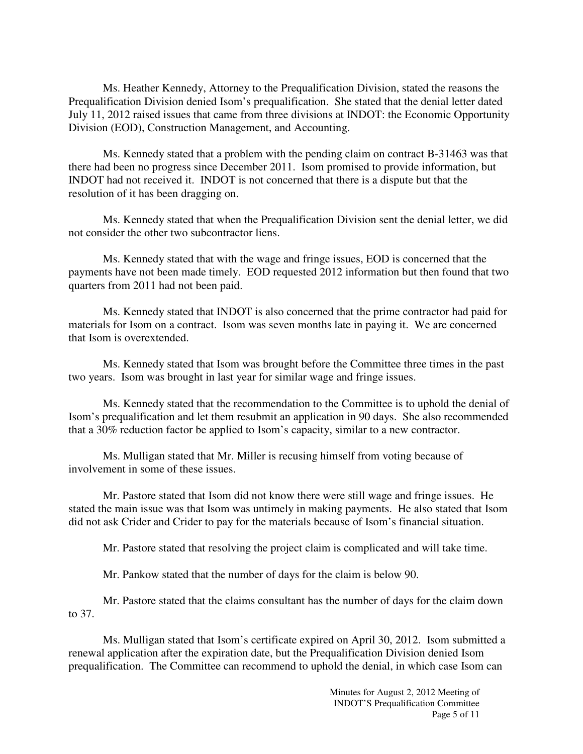Ms. Heather Kennedy, Attorney to the Prequalification Division, stated the reasons the Prequalification Division denied Isom's prequalification. She stated that the denial letter dated July 11, 2012 raised issues that came from three divisions at INDOT: the Economic Opportunity Division (EOD), Construction Management, and Accounting.

Ms. Kennedy stated that a problem with the pending claim on contract B-31463 was that there had been no progress since December 2011. Isom promised to provide information, but INDOT had not received it. INDOT is not concerned that there is a dispute but that the resolution of it has been dragging on.

Ms. Kennedy stated that when the Prequalification Division sent the denial letter, we did not consider the other two subcontractor liens.

Ms. Kennedy stated that with the wage and fringe issues, EOD is concerned that the payments have not been made timely. EOD requested 2012 information but then found that two quarters from 2011 had not been paid.

Ms. Kennedy stated that INDOT is also concerned that the prime contractor had paid for materials for Isom on a contract. Isom was seven months late in paying it. We are concerned that Isom is overextended.

Ms. Kennedy stated that Isom was brought before the Committee three times in the past two years. Isom was brought in last year for similar wage and fringe issues.

Ms. Kennedy stated that the recommendation to the Committee is to uphold the denial of Isom's prequalification and let them resubmit an application in 90 days. She also recommended that a 30% reduction factor be applied to Isom's capacity, similar to a new contractor.

Ms. Mulligan stated that Mr. Miller is recusing himself from voting because of involvement in some of these issues.

Mr. Pastore stated that Isom did not know there were still wage and fringe issues. He stated the main issue was that Isom was untimely in making payments. He also stated that Isom did not ask Crider and Crider to pay for the materials because of Isom's financial situation.

Mr. Pastore stated that resolving the project claim is complicated and will take time.

Mr. Pankow stated that the number of days for the claim is below 90.

Mr. Pastore stated that the claims consultant has the number of days for the claim down to 37.

Ms. Mulligan stated that Isom's certificate expired on April 30, 2012. Isom submitted a renewal application after the expiration date, but the Prequalification Division denied Isom prequalification. The Committee can recommend to uphold the denial, in which case Isom can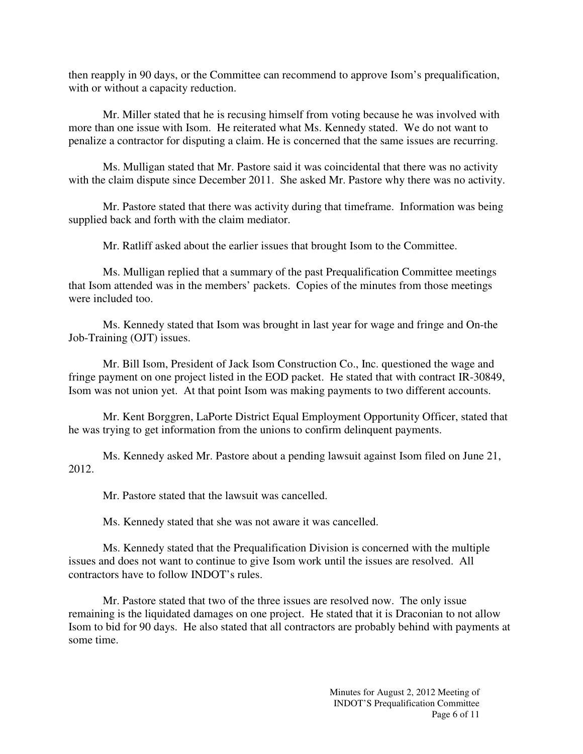then reapply in 90 days, or the Committee can recommend to approve Isom's prequalification, with or without a capacity reduction.

Mr. Miller stated that he is recusing himself from voting because he was involved with more than one issue with Isom. He reiterated what Ms. Kennedy stated. We do not want to penalize a contractor for disputing a claim. He is concerned that the same issues are recurring.

Ms. Mulligan stated that Mr. Pastore said it was coincidental that there was no activity with the claim dispute since December 2011. She asked Mr. Pastore why there was no activity.

Mr. Pastore stated that there was activity during that timeframe. Information was being supplied back and forth with the claim mediator.

Mr. Ratliff asked about the earlier issues that brought Isom to the Committee.

Ms. Mulligan replied that a summary of the past Prequalification Committee meetings that Isom attended was in the members' packets. Copies of the minutes from those meetings were included too.

Ms. Kennedy stated that Isom was brought in last year for wage and fringe and On-the Job-Training (OJT) issues.

Mr. Bill Isom, President of Jack Isom Construction Co., Inc. questioned the wage and fringe payment on one project listed in the EOD packet. He stated that with contract IR-30849, Isom was not union yet. At that point Isom was making payments to two different accounts.

Mr. Kent Borggren, LaPorte District Equal Employment Opportunity Officer, stated that he was trying to get information from the unions to confirm delinquent payments.

Ms. Kennedy asked Mr. Pastore about a pending lawsuit against Isom filed on June 21, 2012.

Mr. Pastore stated that the lawsuit was cancelled.

Ms. Kennedy stated that she was not aware it was cancelled.

Ms. Kennedy stated that the Prequalification Division is concerned with the multiple issues and does not want to continue to give Isom work until the issues are resolved. All contractors have to follow INDOT's rules.

Mr. Pastore stated that two of the three issues are resolved now. The only issue remaining is the liquidated damages on one project. He stated that it is Draconian to not allow Isom to bid for 90 days. He also stated that all contractors are probably behind with payments at some time.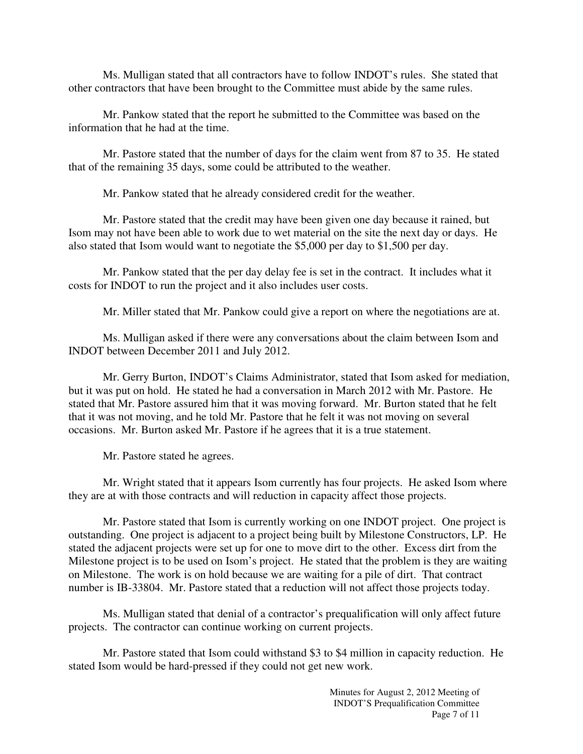Ms. Mulligan stated that all contractors have to follow INDOT's rules. She stated that other contractors that have been brought to the Committee must abide by the same rules.

Mr. Pankow stated that the report he submitted to the Committee was based on the information that he had at the time.

Mr. Pastore stated that the number of days for the claim went from 87 to 35. He stated that of the remaining 35 days, some could be attributed to the weather.

Mr. Pankow stated that he already considered credit for the weather.

Mr. Pastore stated that the credit may have been given one day because it rained, but Isom may not have been able to work due to wet material on the site the next day or days. He also stated that Isom would want to negotiate the \$5,000 per day to \$1,500 per day.

Mr. Pankow stated that the per day delay fee is set in the contract. It includes what it costs for INDOT to run the project and it also includes user costs.

Mr. Miller stated that Mr. Pankow could give a report on where the negotiations are at.

Ms. Mulligan asked if there were any conversations about the claim between Isom and INDOT between December 2011 and July 2012.

Mr. Gerry Burton, INDOT's Claims Administrator, stated that Isom asked for mediation, but it was put on hold. He stated he had a conversation in March 2012 with Mr. Pastore. He stated that Mr. Pastore assured him that it was moving forward. Mr. Burton stated that he felt that it was not moving, and he told Mr. Pastore that he felt it was not moving on several occasions. Mr. Burton asked Mr. Pastore if he agrees that it is a true statement.

Mr. Pastore stated he agrees.

Mr. Wright stated that it appears Isom currently has four projects. He asked Isom where they are at with those contracts and will reduction in capacity affect those projects.

Mr. Pastore stated that Isom is currently working on one INDOT project. One project is outstanding. One project is adjacent to a project being built by Milestone Constructors, LP. He stated the adjacent projects were set up for one to move dirt to the other. Excess dirt from the Milestone project is to be used on Isom's project. He stated that the problem is they are waiting on Milestone. The work is on hold because we are waiting for a pile of dirt. That contract number is IB-33804. Mr. Pastore stated that a reduction will not affect those projects today.

Ms. Mulligan stated that denial of a contractor's prequalification will only affect future projects. The contractor can continue working on current projects.

Mr. Pastore stated that Isom could withstand \$3 to \$4 million in capacity reduction. He stated Isom would be hard-pressed if they could not get new work.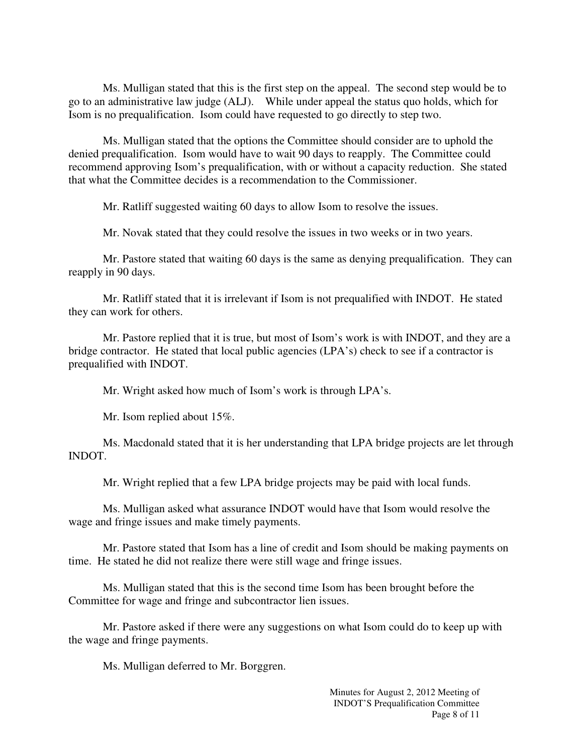Ms. Mulligan stated that this is the first step on the appeal. The second step would be to go to an administrative law judge (ALJ). While under appeal the status quo holds, which for Isom is no prequalification. Isom could have requested to go directly to step two.

Ms. Mulligan stated that the options the Committee should consider are to uphold the denied prequalification. Isom would have to wait 90 days to reapply. The Committee could recommend approving Isom's prequalification, with or without a capacity reduction. She stated that what the Committee decides is a recommendation to the Commissioner.

Mr. Ratliff suggested waiting 60 days to allow Isom to resolve the issues.

Mr. Novak stated that they could resolve the issues in two weeks or in two years.

Mr. Pastore stated that waiting 60 days is the same as denying prequalification. They can reapply in 90 days.

Mr. Ratliff stated that it is irrelevant if Isom is not prequalified with INDOT. He stated they can work for others.

Mr. Pastore replied that it is true, but most of Isom's work is with INDOT, and they are a bridge contractor. He stated that local public agencies (LPA's) check to see if a contractor is prequalified with INDOT.

Mr. Wright asked how much of Isom's work is through LPA's.

Mr. Isom replied about 15%.

Ms. Macdonald stated that it is her understanding that LPA bridge projects are let through INDOT.

Mr. Wright replied that a few LPA bridge projects may be paid with local funds.

Ms. Mulligan asked what assurance INDOT would have that Isom would resolve the wage and fringe issues and make timely payments.

Mr. Pastore stated that Isom has a line of credit and Isom should be making payments on time. He stated he did not realize there were still wage and fringe issues.

Ms. Mulligan stated that this is the second time Isom has been brought before the Committee for wage and fringe and subcontractor lien issues.

Mr. Pastore asked if there were any suggestions on what Isom could do to keep up with the wage and fringe payments.

Ms. Mulligan deferred to Mr. Borggren.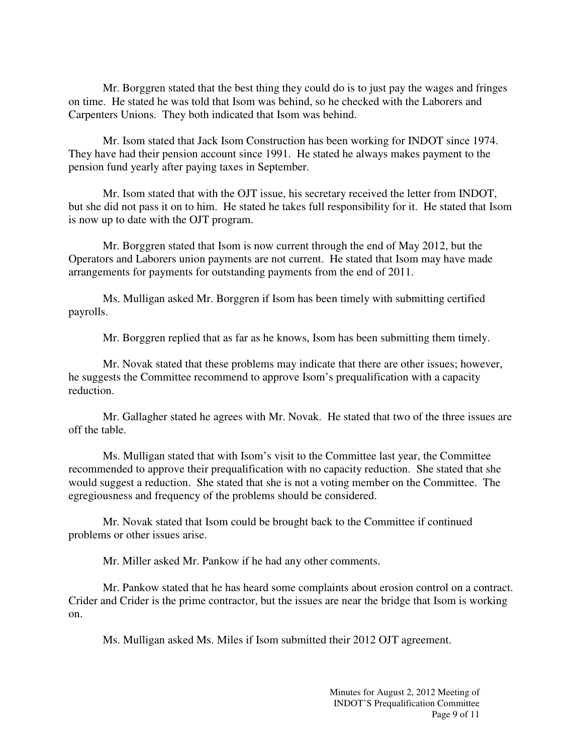Mr. Borggren stated that the best thing they could do is to just pay the wages and fringes on time. He stated he was told that Isom was behind, so he checked with the Laborers and Carpenters Unions. They both indicated that Isom was behind.

Mr. Isom stated that Jack Isom Construction has been working for INDOT since 1974. They have had their pension account since 1991. He stated he always makes payment to the pension fund yearly after paying taxes in September.

Mr. Isom stated that with the OJT issue, his secretary received the letter from INDOT, but she did not pass it on to him. He stated he takes full responsibility for it. He stated that Isom is now up to date with the OJT program.

Mr. Borggren stated that Isom is now current through the end of May 2012, but the Operators and Laborers union payments are not current. He stated that Isom may have made arrangements for payments for outstanding payments from the end of 2011.

Ms. Mulligan asked Mr. Borggren if Isom has been timely with submitting certified payrolls.

Mr. Borggren replied that as far as he knows, Isom has been submitting them timely.

Mr. Novak stated that these problems may indicate that there are other issues; however, he suggests the Committee recommend to approve Isom's prequalification with a capacity reduction.

Mr. Gallagher stated he agrees with Mr. Novak. He stated that two of the three issues are off the table.

Ms. Mulligan stated that with Isom's visit to the Committee last year, the Committee recommended to approve their prequalification with no capacity reduction. She stated that she would suggest a reduction. She stated that she is not a voting member on the Committee. The egregiousness and frequency of the problems should be considered.

Mr. Novak stated that Isom could be brought back to the Committee if continued problems or other issues arise.

Mr. Miller asked Mr. Pankow if he had any other comments.

Mr. Pankow stated that he has heard some complaints about erosion control on a contract. Crider and Crider is the prime contractor, but the issues are near the bridge that Isom is working on.

Ms. Mulligan asked Ms. Miles if Isom submitted their 2012 OJT agreement.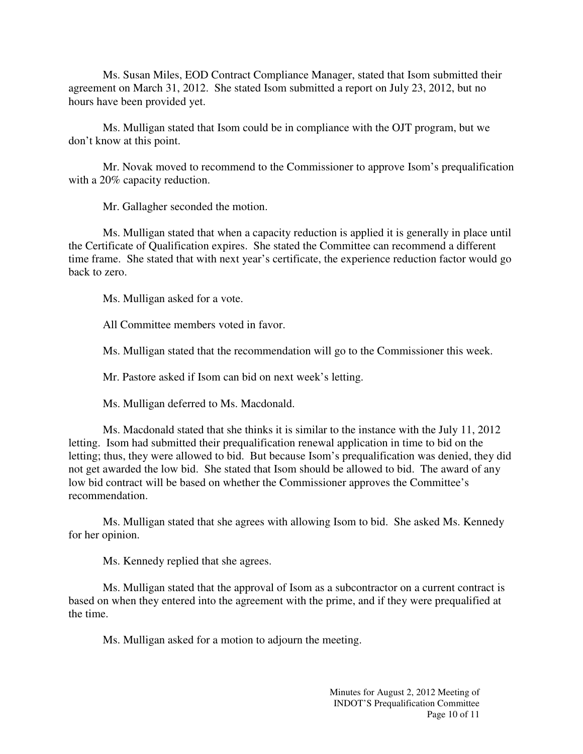Ms. Susan Miles, EOD Contract Compliance Manager, stated that Isom submitted their agreement on March 31, 2012. She stated Isom submitted a report on July 23, 2012, but no hours have been provided yet.

Ms. Mulligan stated that Isom could be in compliance with the OJT program, but we don't know at this point.

Mr. Novak moved to recommend to the Commissioner to approve Isom's prequalification with a 20% capacity reduction.

Mr. Gallagher seconded the motion.

Ms. Mulligan stated that when a capacity reduction is applied it is generally in place until the Certificate of Qualification expires. She stated the Committee can recommend a different time frame. She stated that with next year's certificate, the experience reduction factor would go back to zero.

Ms. Mulligan asked for a vote.

All Committee members voted in favor.

Ms. Mulligan stated that the recommendation will go to the Commissioner this week.

Mr. Pastore asked if Isom can bid on next week's letting.

Ms. Mulligan deferred to Ms. Macdonald.

Ms. Macdonald stated that she thinks it is similar to the instance with the July 11, 2012 letting. Isom had submitted their prequalification renewal application in time to bid on the letting; thus, they were allowed to bid. But because Isom's prequalification was denied, they did not get awarded the low bid. She stated that Isom should be allowed to bid. The award of any low bid contract will be based on whether the Commissioner approves the Committee's recommendation.

Ms. Mulligan stated that she agrees with allowing Isom to bid. She asked Ms. Kennedy for her opinion.

Ms. Kennedy replied that she agrees.

Ms. Mulligan stated that the approval of Isom as a subcontractor on a current contract is based on when they entered into the agreement with the prime, and if they were prequalified at the time.

Ms. Mulligan asked for a motion to adjourn the meeting.